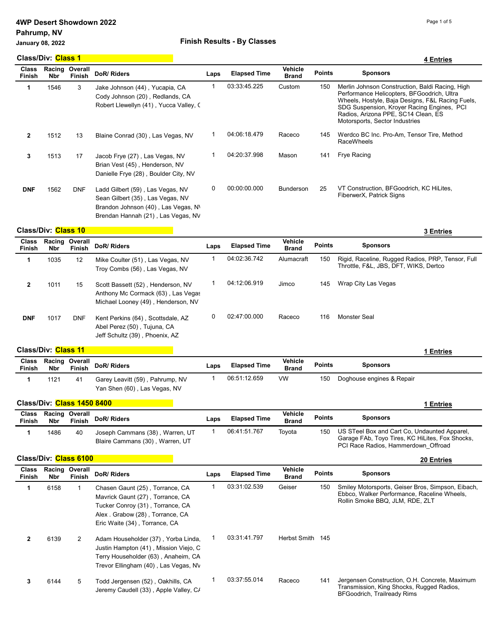|                        | Class/Div: Class 1                 |                          |                                                                                                                                                                              |              |                     |                                |               | 4 Entries                                                                                                                                                                                                                                                                |
|------------------------|------------------------------------|--------------------------|------------------------------------------------------------------------------------------------------------------------------------------------------------------------------|--------------|---------------------|--------------------------------|---------------|--------------------------------------------------------------------------------------------------------------------------------------------------------------------------------------------------------------------------------------------------------------------------|
| Class<br><b>Finish</b> | Racing<br><b>Nbr</b>               | Overall<br><b>Finish</b> | DoR/Riders                                                                                                                                                                   | Laps         | <b>Elapsed Time</b> | Vehicle<br><b>Brand</b>        | <b>Points</b> | <b>Sponsors</b>                                                                                                                                                                                                                                                          |
| 1                      | 1546                               | 3                        | Jake Johnson (44), Yucapia, CA<br>Cody Johnson (20), Redlands, CA<br>Robert Llewellyn (41), Yucca Valley, C                                                                  | $\mathbf{1}$ | 03:33:45.225        | Custom                         | 150           | Merlin Johnson Construction, Baldi Racing, High<br>Performance Helicopters, BFGoodrich, Ultra<br>Wheels, Hostyle, Baja Designs, F&L Racing Fuels,<br>SDG Suspension, Kroyer Racing Engines, PCI<br>Radios, Arizona PPE, SC14 Clean, ES<br>Motorsports, Sector Industries |
| 2                      | 1512                               | 13                       | Blaine Conrad (30), Las Vegas, NV                                                                                                                                            | 1            | 04:06:18.479        | Raceco                         | 145           | Werdco BC Inc. Pro-Am, Tensor Tire, Method<br><b>RaceWheels</b>                                                                                                                                                                                                          |
| 3                      | 1513                               | 17                       | Jacob Frye (27), Las Vegas, NV<br>Brian Vest (45), Henderson, NV<br>Danielle Frye (28), Boulder City, NV                                                                     | 1            | 04:20:37.998        | Mason                          | 141           | <b>Frye Racing</b>                                                                                                                                                                                                                                                       |
| <b>DNF</b>             | 1562                               | <b>DNF</b>               | Ladd Gilbert (59), Las Vegas, NV<br>Sean Gilbert (35), Las Vegas, NV<br>Brandon Johnson (40), Las Vegas, N'<br>Brendan Hannah (21), Las Vegas, NV                            | 0            | 00:00:00.000        | Bunderson                      | 25            | VT Construction, BFGoodrich, KC HiLites,<br>FiberwerX, Patrick Signs                                                                                                                                                                                                     |
|                        | <b>Class/Div: Class 10</b>         |                          |                                                                                                                                                                              |              |                     |                                |               | 3 Entries                                                                                                                                                                                                                                                                |
| <b>Class</b><br>Finish | Racing<br>Nbr                      | Overall<br><b>Finish</b> | DoR/Riders                                                                                                                                                                   | Laps         | <b>Elapsed Time</b> | Vehicle<br><b>Brand</b>        | Points        | <b>Sponsors</b>                                                                                                                                                                                                                                                          |
| 1                      | 1035                               | 12                       | Mike Coulter (51), Las Vegas, NV<br>Troy Combs (56), Las Vegas, NV                                                                                                           | $\mathbf{1}$ | 04:02:36.742        | Alumacraft                     | 150           | Rigid, Raceline, Rugged Radios, PRP, Tensor, Full<br>Throttle, F&L, JBS, DFT, WIKS, Dertco                                                                                                                                                                               |
| $\mathbf{2}$           | 1011                               | 15                       | Scott Bassett (52), Henderson, NV<br>Anthony Mc Cormack (63), Las Vegas<br>Michael Looney (49), Henderson, NV                                                                | 1            | 04:12:06.919        | Jimco                          | 145           | Wrap City Las Vegas                                                                                                                                                                                                                                                      |
| <b>DNF</b>             | 1017                               | <b>DNF</b>               | Kent Perkins (64), Scottsdale, AZ<br>Abel Perez (50), Tujuna, CA<br>Jeff Schultz (39), Phoenix, AZ                                                                           | 0            | 02:47:00.000        | Raceco                         | 116           | <b>Monster Seal</b>                                                                                                                                                                                                                                                      |
|                        | <b>Class/Div: Class 11</b>         |                          |                                                                                                                                                                              |              |                     |                                |               | 1 Entries                                                                                                                                                                                                                                                                |
| Class<br>Finish        | Racing<br><b>Nbr</b>               | Overall<br><b>Finish</b> | DoR/Riders                                                                                                                                                                   | Laps         | <b>Elapsed Time</b> | Vehicle<br><b>Brand</b>        | <b>Points</b> | <b>Sponsors</b>                                                                                                                                                                                                                                                          |
| 1                      | 1121                               | 41                       | Garey Leavitt (59), Pahrump, NV<br>Yan Shen (60), Las Vegas, NV                                                                                                              | $\mathbf{1}$ | 06:51:12.659        | <b>VW</b>                      | 150           | Doghouse engines & Repair                                                                                                                                                                                                                                                |
|                        | Class/Div: Class 1450 8400         |                          |                                                                                                                                                                              |              |                     |                                |               | 1 Entries                                                                                                                                                                                                                                                                |
| Finish                 | <b>Class Racing Overall</b><br>Nbr | Finish                   | DoR/Riders                                                                                                                                                                   | Laps         | <b>Elapsed Time</b> | Vehicle<br>Brand               | Points        | <b>Sponsors</b>                                                                                                                                                                                                                                                          |
| 1                      | 1486                               | 40                       | Joseph Cammans (38), Warren, UT<br>Blaire Cammans (30), Warren, UT                                                                                                           | $\mathbf{1}$ | 06:41:51.767        | Toyota                         | 150           | US STeel Box and Cart Co, Undaunted Apparel,<br>Garage FAb, Toyo Tires, KC HiLites, Fox Shocks,<br>PCI Race Radios, Hammerdown Offroad                                                                                                                                   |
|                        | Class/Div: Class 6100              |                          |                                                                                                                                                                              |              |                     |                                |               | 20 Entries                                                                                                                                                                                                                                                               |
| <b>Class</b><br>Finish | Racing<br>Nbr                      | Overall<br><b>Finish</b> | DoR/Riders                                                                                                                                                                   | Laps         | <b>Elapsed Time</b> | <b>Vehicle</b><br><b>Brand</b> | <b>Points</b> | <b>Sponsors</b>                                                                                                                                                                                                                                                          |
| 1                      | 6158                               | $\mathbf{1}$             | Chasen Gaunt (25), Torrance, CA<br>Mavrick Gaunt (27), Torrance, CA<br>Tucker Conroy (31), Torrance, CA<br>Alex . Grabow (28), Torrance, CA<br>Eric Waite (34), Torrance, CA | 1            | 03:31:02.539        | Geiser                         | 150           | Smiley Motorsports, Geiser Bros, Simpson, Eibach,<br>Ebbco, Walker Performance, Raceline Wheels,<br>Rollin Smoke BBQ, JLM, RDE, ZLT                                                                                                                                      |
| 2                      | 6139                               | 2                        | Adam Householder (37), Yorba Linda,<br>Justin Hampton (41), Mission Viejo, C<br>Terry Householder (63), Anaheim, CA<br>Trevor Ellingham (40), Las Vegas, NV                  | 1            | 03:31:41.797        | Herbst Smith 145               |               |                                                                                                                                                                                                                                                                          |
| 3                      | 6144                               | 5                        | Todd Jergensen (52), Oakhills, CA<br>Jeremy Caudell (33), Apple Valley, C/                                                                                                   | 1            | 03:37:55.014        | Raceco                         | 141           | Jergensen Construction, O.H. Concrete, Maximum<br>Transmission, King Shocks, Rugged Radios,<br><b>BFGoodrich, Trailready Rims</b>                                                                                                                                        |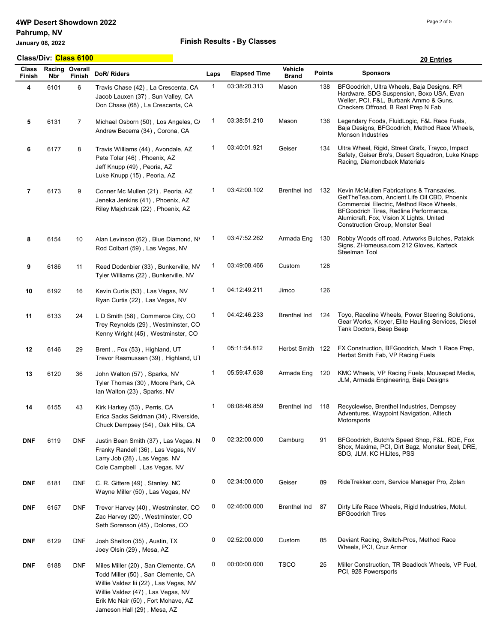## 4WP Desert Showdown 2022 Pahrump, NV

# January 08, 2022 Finish Results - By Classes

|                        | Class/Div: Class 6100 |                          |                                                                                                                                                                                                                              |              |                     |                         |               | 20 Entries                                                                                                                                                                                                                                                      |
|------------------------|-----------------------|--------------------------|------------------------------------------------------------------------------------------------------------------------------------------------------------------------------------------------------------------------------|--------------|---------------------|-------------------------|---------------|-----------------------------------------------------------------------------------------------------------------------------------------------------------------------------------------------------------------------------------------------------------------|
| Class<br><b>Finish</b> | Nbr                   | Racing Overall<br>Finish | DoR/Riders                                                                                                                                                                                                                   | Laps         | <b>Elapsed Time</b> | Vehicle<br><b>Brand</b> | <b>Points</b> | <b>Sponsors</b>                                                                                                                                                                                                                                                 |
| 4                      | 6101                  | 6                        | Travis Chase (42), La Crescenta, CA<br>Jacob Lauxen (37), Sun Valley, CA<br>Don Chase (68), La Crescenta, CA                                                                                                                 | $\mathbf{1}$ | 03:38:20.313        | Mason                   | 138           | BFGoodrich, Ultra Wheels, Baja Designs, RPI<br>Hardware, SDG Suspension, Boxo USA, Evan<br>Weller, PCI, F&L, Burbank Ammo & Guns,<br>Checkers Offroad, B Real Prep N Fab                                                                                        |
| 5                      | 6131                  | 7                        | Michael Osborn (50), Los Angeles, C/<br>Andrew Becerra (34), Corona, CA                                                                                                                                                      | 1            | 03:38:51.210        | Mason                   | 136           | Legendary Foods, FluidLogic, F&L Race Fuels,<br>Baja Designs, BFGoodrich, Method Race Wheels,<br><b>Monson Industries</b>                                                                                                                                       |
| 6                      | 6177                  | 8                        | Travis Williams (44), Avondale, AZ<br>Pete Tolar (46), Phoenix, AZ<br>Jeff Knupp (49), Peoria, AZ<br>Luke Knupp (15), Peoria, AZ                                                                                             | 1            | 03:40:01.921        | Geiser                  | 134           | Ultra Wheel, Rigid, Street Grafx, Trayco, Impact<br>Safety, Geiser Bro's, Desert Squadron, Luke Knapp<br>Racing, Diamondback Materials                                                                                                                          |
| $\overline{7}$         | 6173                  | 9                        | Conner Mc Mullen (21), Peoria, AZ<br>Jeneka Jenkins (41), Phoenix, AZ<br>Riley Majchrzak (22), Phoenix, AZ                                                                                                                   | 1            | 03:42:00.102        | Brenthel Ind            | 132           | Kevin McMullen Fabrications & Transaxles,<br>GetTheTea.com, Ancient Life Oil CBD, Phoenix<br>Commercial Electric, Method Race Wheels,<br>BFGoodrich Tires, Redline Performance,<br>Alumicraft, Fox, Vision X Lights, United<br>Construction Group, Monster Seal |
| 8                      | 6154                  | 10                       | Alan Levinson (62), Blue Diamond, NV<br>Rod Colbart (59), Las Vegas, NV                                                                                                                                                      | 1            | 03:47:52.262        | Armada Eng              | 130           | Robby Woods off road, Artworks Butches, Pataick<br>Signs, ZHomeusa.com 212 Gloves, Karteck<br>Steelman Tool                                                                                                                                                     |
| 9                      | 6186                  | 11                       | Reed Dodenbier (33), Bunkerville, NV<br>Tyler Williams (22), Bunkerville, NV                                                                                                                                                 | 1            | 03:49:08.466        | Custom                  | 128           |                                                                                                                                                                                                                                                                 |
| 10                     | 6192                  | 16                       | Kevin Curtis (53), Las Vegas, NV<br>Ryan Curtis (22), Las Vegas, NV                                                                                                                                                          | 1            | 04:12:49.211        | Jimco                   | 126           |                                                                                                                                                                                                                                                                 |
| 11                     | 6133                  | 24                       | L D Smith (58), Commerce City, CO<br>Trey Reynolds (29), Westminster, CO<br>Kenny Wright (45), Westminster, CO                                                                                                               | 1            | 04:42:46.233        | <b>Brenthel Ind</b>     | 124           | Toyo, Raceline Wheels, Power Steering Solutions,<br>Gear Works, Kroyer, Elite Hauling Services, Diesel<br>Tank Doctors, Beep Beep                                                                                                                               |
| 12                     | 6146                  | 29                       | Brent  Fox (53), Highland, UT<br>Trevor Rasmussen (39), Highland, UT                                                                                                                                                         | 1            | 05:11:54.812        | Herbst Smith            | 122           | FX Construction, BFGoodrich, Mach 1 Race Prep,<br>Herbst Smith Fab, VP Racing Fuels                                                                                                                                                                             |
| 13                     | 6120                  | 36                       | John Walton (57), Sparks, NV<br>Tyler Thomas (30), Moore Park, CA<br>Ian Walton (23), Sparks, NV                                                                                                                             | 1            | 05:59:47.638        | Armada Eng              | 120           | KMC Wheels, VP Racing Fuels, Mousepad Media,<br>JLM, Armada Engineering, Baja Designs                                                                                                                                                                           |
| 14                     | 6155                  | 43                       | Kirk Harkey (53) , Perris, CA<br>Erica Sacks Seidman (34), Riverside,<br>Chuck Dempsey (54), Oak Hills, CA                                                                                                                   | 1            | 08:08:46.859        | <b>Brenthel Ind</b>     | 118           | Recyclewise, Brenthel Industries, Dempsey<br>Adventures, Waypoint Navigation, Alltech<br>Motorsports                                                                                                                                                            |
| <b>DNF</b>             | 6119                  | <b>DNF</b>               | Justin Bean Smith (37), Las Vegas, N<br>Franky Randell (36), Las Vegas, NV<br>Larry Job (28), Las Vegas, NV<br>Cole Campbell, Las Vegas, NV                                                                                  | 0            | 02:32:00.000        | Camburg                 | 91            | BFGoodrich, Butch's Speed Shop, F&L, RDE, Fox<br>Shox, Maxima, PCI, Dirt Bagz, Monster Seal, DRE,<br>SDG, JLM, KC HiLites, PSS                                                                                                                                  |
| <b>DNF</b>             | 6181                  | DNF                      | C. R. Gittere (49), Stanley, NC<br>Wayne Miller (50), Las Vegas, NV                                                                                                                                                          | 0            | 02:34:00.000        | Geiser                  | 89            | RideTrekker.com, Service Manager Pro, Zplan                                                                                                                                                                                                                     |
| <b>DNF</b>             | 6157                  | <b>DNF</b>               | Trevor Harvey (40), Westminster, CO<br>Zac Harvey (20), Westminster, CO<br>Seth Sorenson (45), Dolores, CO                                                                                                                   | 0            | 02:46:00.000        | <b>Brenthel Ind</b>     | 87            | Dirty Life Race Wheels, Rigid Industries, Motul,<br><b>BFGoodrich Tires</b>                                                                                                                                                                                     |
| <b>DNF</b>             | 6129                  | <b>DNF</b>               | Josh Shelton (35), Austin, TX<br>Joey Olsin (29), Mesa, AZ                                                                                                                                                                   | 0            | 02:52:00.000        | Custom                  | 85            | Deviant Racing, Switch-Pros, Method Race<br>Wheels, PCI, Cruz Armor                                                                                                                                                                                             |
| <b>DNF</b>             | 6188                  | <b>DNF</b>               | Miles Miller (20), San Clemente, CA<br>Todd Miller (50), San Clemente, CA<br>Willie Valdez lii (22), Las Vegas, NV<br>Willie Valdez (47), Las Vegas, NV<br>Erik Mc Nair (50), Fort Mohave, AZ<br>Jameson Hall (29), Mesa, AZ | 0            | 00:00:00.000        | TSCO                    | 25            | Miller Construction, TR Beadlock Wheels, VP Fuel,<br>PCI, 928 Powersports                                                                                                                                                                                       |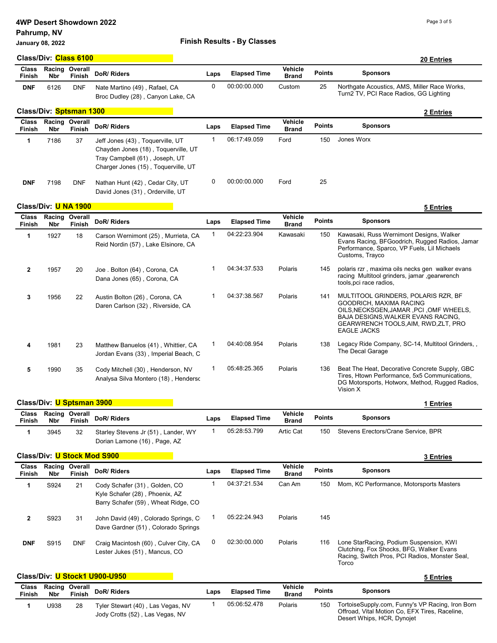## 4WP Desert Showdown 2022 Pahrump, NV

|                               | Class/Div: Class 6100     |                                 |                                                                                                                                                  |              |                     |                         |               | <b>20 Entries</b>                                                                                                                                                                                             |
|-------------------------------|---------------------------|---------------------------------|--------------------------------------------------------------------------------------------------------------------------------------------------|--------------|---------------------|-------------------------|---------------|---------------------------------------------------------------------------------------------------------------------------------------------------------------------------------------------------------------|
| <b>Class</b><br>Finish        | <b>Nbr</b>                | Racing Overall<br><b>Finish</b> | DoR/Riders                                                                                                                                       | Laps         | <b>Elapsed Time</b> | Vehicle<br><b>Brand</b> | <b>Points</b> | <b>Sponsors</b>                                                                                                                                                                                               |
| <b>DNF</b>                    | 6126                      | <b>DNF</b>                      | Nate Martino (49), Rafael, CA<br>Broc Dudley (28), Canyon Lake, CA                                                                               | $\mathbf 0$  | 00:00:00.000        | Custom                  | 25            | Northgate Acoustics, AMS, Miller Race Works,<br>Turn2 TV, PCI Race Radios, GG Lighting                                                                                                                        |
|                               | Class/Div: Sptsman 1300   |                                 |                                                                                                                                                  |              |                     |                         |               | 2 Entries                                                                                                                                                                                                     |
| Class<br>Finish               | <b>Nbr</b>                | Racing Overall<br><b>Finish</b> | DoR/Riders                                                                                                                                       | Laps         | <b>Elapsed Time</b> | Vehicle<br><b>Brand</b> | <b>Points</b> | <b>Sponsors</b>                                                                                                                                                                                               |
| 1                             | 7186                      | 37                              | Jeff Jones (43), Toquerville, UT<br>Chayden Jones (18), Toquerville, UT<br>Tray Campbell (61), Joseph, UT<br>Charger Jones (15), Toquerville, UT | $\mathbf{1}$ | 06:17:49.059        | Ford                    | 150           | Jones Worx                                                                                                                                                                                                    |
| <b>DNF</b>                    | 7198                      | <b>DNF</b>                      | Nathan Hunt (42), Cedar City, UT<br>David Jones (31), Orderville, UT                                                                             | 0            | 00:00:00.000        | Ford                    | 25            |                                                                                                                                                                                                               |
|                               | Class/Div: U NA 1900      |                                 |                                                                                                                                                  |              |                     |                         |               | 5 Entries                                                                                                                                                                                                     |
| <b>Class</b><br><b>Finish</b> | Racing<br><b>Nbr</b>      | Overall<br><b>Finish</b>        | DoR/Riders                                                                                                                                       | Laps         | <b>Elapsed Time</b> | Vehicle<br><b>Brand</b> | Points        | <b>Sponsors</b>                                                                                                                                                                                               |
| 1                             | 1927                      | 18                              | Carson Wernimont (25), Murrieta, CA<br>Reid Nordin (57), Lake Elsinore, CA                                                                       | $\mathbf{1}$ | 04:22:23.904        | Kawasaki                | 150           | Kawasaki, Russ Wernimont Designs, Walker<br>Evans Racing, BFGoodrich, Rugged Radios, Jamar<br>Performance, Sparco, VP Fuels, Lil Michaels<br>Customs, Trayco                                                  |
| $\mathbf{2}$                  | 1957                      | 20                              | Joe. Bolton (64), Corona, CA<br>Dana Jones (65), Corona, CA                                                                                      | 1            | 04:34:37.533        | Polaris                 | 145           | polaris rzr, maxima oils necks gen walker evans<br>racing Multitool grinders, jamar, gearwrench<br>tools, pci race radios,                                                                                    |
| 3                             | 1956                      | 22                              | Austin Bolton (26), Corona, CA<br>Daren Carlson (32), Riverside, CA                                                                              | $\mathbf{1}$ | 04:37:38.567        | Polaris                 | 141           | MULTITOOL GRINDERS, POLARIS RZR, BF<br>GOODRICH, MAXIMA RACING<br>OILS, NECKSGEN, JAMAR, PCI, OMF WHEELS,<br>BAJA DESIGNS, WALKER EVANS RACING,<br>GEARWRENCH TOOLS, AIM, RWD, ZLT, PRO<br><b>EAGLE JACKS</b> |
| 4                             | 1981                      | 23                              | Matthew Banuelos (41), Whittier, CA<br>Jordan Evans (33), Imperial Beach, C                                                                      | 1            | 04:40:08.954        | Polaris                 | 138           | Legacy Ride Company, SC-14, Multitool Grinders, .<br>The Decal Garage                                                                                                                                         |
| 5                             | 1990                      | 35                              | Cody Mitchell (30), Henderson, NV<br>Analysa Silva Montero (18), Henderso                                                                        | $\mathbf{1}$ | 05:48:25.365        | Polaris                 | 136           | Beat The Heat, Decorative Concrete Supply, GBC<br>Tires, Htown Performance, 5x5 Communications,<br>DG Motorsports, Hotworx, Method, Rugged Radios,<br>Vision X                                                |
|                               | Class/Div: U Sptsman 3900 |                                 |                                                                                                                                                  |              |                     |                         |               | 1 Entries                                                                                                                                                                                                     |

|                               |            |                                        |                                                                     |      |                     |                         |               | -------                             |
|-------------------------------|------------|----------------------------------------|---------------------------------------------------------------------|------|---------------------|-------------------------|---------------|-------------------------------------|
| <b>Class</b><br><b>Finish</b> | <b>Nbr</b> | <b>Racing Overall</b><br><b>Finish</b> | DoR/Riders                                                          | Laps | <b>Elapsed Time</b> | Vehicle<br><b>Brand</b> | <b>Points</b> | Sponsors                            |
|                               | 3945       | 32                                     | Starley Stevens Jr (51), Lander, WY<br>Dorian Lamone (16), Page, AZ |      | 05:28:53.799        | Artic Cat               | 150           | Stevens Erectors/Crane Service, BPR |

## **Class/Div:** U Stock Mod S900 3 Entries

| Class<br>Finish                                   | Racing<br><b>Nbr</b> | Overall<br><b>Finish</b> | DoR/Riders                                                                                             | Laps     | <b>Elapsed Time</b> | Vehicle<br><b>Brand</b> | <b>Points</b> | <b>Sponsors</b>                                                                                                                                |  |  |
|---------------------------------------------------|----------------------|--------------------------|--------------------------------------------------------------------------------------------------------|----------|---------------------|-------------------------|---------------|------------------------------------------------------------------------------------------------------------------------------------------------|--|--|
|                                                   | S924                 | 21                       | Cody Schafer (31), Golden, CO<br>Kyle Schafer (28), Phoenix, AZ<br>Barry Schafer (59), Wheat Ridge, CO |          | 04:37:21.534        | Can Am                  | 150           | Mom, KC Performance, Motorsports Masters                                                                                                       |  |  |
|                                                   | S923                 | 31                       | John David (49), Colorado Springs, C<br>Dave Gardner (51), Colorado Springs.                           |          | 05:22:24.943        | Polaris                 | 145           |                                                                                                                                                |  |  |
| <b>DNF</b>                                        | S915                 | <b>DNF</b>               | Craig Macintosh (60), Culver City, CA<br>Lester Jukes (51), Mancus, CO                                 | $\Omega$ | 02:30:00.000        | Polaris                 | 116           | Lone StarRacing, Podium Suspension, KWI<br>Clutching, Fox Shocks, BFG, Walker Evans<br>Racing, Switch Pros, PCI Radios, Monster Seal,<br>Torco |  |  |
| Class/Div: U Stock1 U900-U950<br><b>5 Entries</b> |                      |                          |                                                                                                        |          |                     |                         |               |                                                                                                                                                |  |  |

Class Racing Overall Vehicle Sponsors<br>Finish Nha Finish DoR/ Riders Laps Elapsed Time pagnal Points Sponsors Finish Racing Overall Nbr Finish DoR/ Riders Laps Elapsed Time Vehicle **Brand** Points Tyler Stewart (40) , Las Vegas, NV Jody Crotts (52) , Las Vegas, NV <sup>1</sup> U938 28 1 05:06:52.478 Polaris 150 TortoiseSupply.com, Funny's VP Racing, Iron Born Offroad, Vital Motion Co, EFX Tires, Raceline, Desert Whips, HCR, Dynojet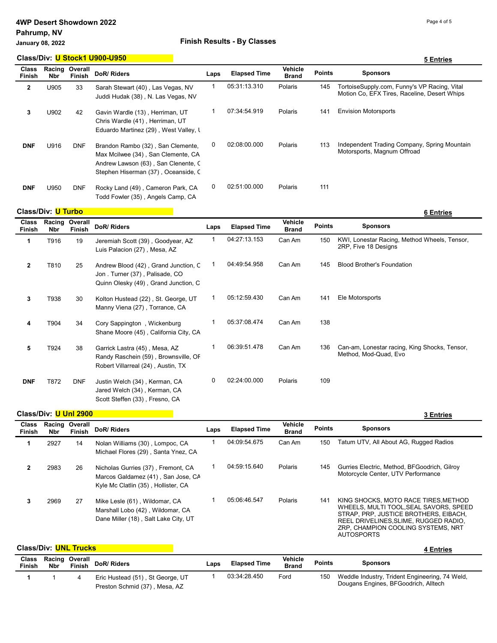### 4WP Desert Showdown 2022 Pahrump, NV

## January 08, 2022 Finish Results - By Classes

### Page 4 of 5

#### **Class/Div:** U Stock1 U900-U950 **5 Entries**

|                        |                      |                   |                                                                                                                                                       |      |                     |                         |               | $      -$                                                                                    |
|------------------------|----------------------|-------------------|-------------------------------------------------------------------------------------------------------------------------------------------------------|------|---------------------|-------------------------|---------------|----------------------------------------------------------------------------------------------|
| Class<br><b>Finish</b> | Racing<br><b>Nbr</b> | Overall<br>Finish | DoR/Riders                                                                                                                                            | Laps | <b>Elapsed Time</b> | Vehicle<br><b>Brand</b> | <b>Points</b> | <b>Sponsors</b>                                                                              |
| $\mathbf{2}$           | U905                 | 33                | Sarah Stewart (40), Las Vegas, NV<br>Juddi Hudak (38), N. Las Vegas, NV                                                                               |      | 05:31:13.310        | Polaris                 | 145           | TortoiseSupply.com, Funny's VP Racing, Vital<br>Motion Co, EFX Tires, Raceline, Desert Whips |
| 3                      | U902                 | 42                | Gavin Wardle (13), Herriman, UT<br>Chris Wardle (41), Herriman, UT<br>Eduardo Martinez (29), West Valley, L                                           |      | 07:34:54.919        | Polaris                 | 141           | <b>Envision Motorsports</b>                                                                  |
| <b>DNF</b>             | U916                 | <b>DNF</b>        | Brandon Rambo (32), San Clemente,<br>Max Mcilwee (34), San Clemente, CA<br>Andrew Lawson (63), San Clenente, C<br>Stephen Hiserman (37), Oceanside, C | 0    | 02:08:00.000        | Polaris                 | 113           | Independent Trading Company, Spring Mountain<br>Motorsports, Magnum Offroad                  |
| <b>DNF</b>             | U950                 | <b>DNF</b>        | Rocky Land (49), Cameron Park, CA<br>Todd Fowler (35), Angels Camp, CA                                                                                | 0    | 02:51:00.000        | Polaris                 | 111           |                                                                                              |

Class/Div: <mark>U Turbo 6 Entries and the control of the control of the control of the control of the control of the control of the control of the control of the control of the control of the control of the control of the con</mark>

| <b>Class</b><br>Finish | Racing<br><b>Nbr</b> | Overall<br>Finish | DoR/Riders                                                                                                     | Laps | <b>Elapsed Time</b> | Vehicle<br><b>Brand</b> | <b>Points</b> | <b>Sponsors</b>                                                        |
|------------------------|----------------------|-------------------|----------------------------------------------------------------------------------------------------------------|------|---------------------|-------------------------|---------------|------------------------------------------------------------------------|
| 1                      | T916                 | 19                | Jeremiah Scott (39), Goodyear, AZ<br>Luis Palacion (27), Mesa, AZ                                              |      | 04:27:13.153        | Can Am                  | 150           | KWI, Lonestar Racing, Method Wheels, Tensor,<br>2RP, Five 18 Designs   |
| $\mathbf{2}$           | T810                 | 25                | Andrew Blood (42), Grand Junction, C<br>Jon. Turner (37), Palisade, CO<br>Quinn Olesky (49), Grand Junction, C |      | 04:49:54.958        | Can Am                  | 145           | <b>Blood Brother's Foundation</b>                                      |
| 3                      | T938                 | 30                | Kolton Hustead (22), St. George, UT<br>Manny Viena (27), Torrance, CA                                          |      | 05:12:59.430        | Can Am                  | 141           | Ele Motorsports                                                        |
| 4                      | T904                 | 34                | Cory Sappington, Wickenburg<br>Shane Moore (45), California City, CA                                           |      | 05:37:08.474        | Can Am                  | 138           |                                                                        |
| 5                      | T924                 | 38                | Garrick Lastra (45), Mesa, AZ<br>Randy Raschein (59), Brownsville, OF<br>Robert Villarreal (24), Austin, TX    |      | 06:39:51.478        | Can Am                  | 136           | Can-am, Lonestar racing, King Shocks, Tensor,<br>Method, Mod-Quad, Evo |
| <b>DNF</b>             | T872                 | <b>DNF</b>        | Justin Welch (34), Kerman, CA<br>Jared Welch (34), Kerman, CA<br>Scott Steffen (33), Fresno, CA                | 0    | 02:24:00.000        | Polaris                 | 109           |                                                                        |

|                                           | Class/Div: U Uni 2900 |                   |                                                                                                                 |      |                     |                         |               | 3 Entries                                                                                                                                                                                                                   |  |
|-------------------------------------------|-----------------------|-------------------|-----------------------------------------------------------------------------------------------------------------|------|---------------------|-------------------------|---------------|-----------------------------------------------------------------------------------------------------------------------------------------------------------------------------------------------------------------------------|--|
| Class<br>Finish                           | Racing<br><b>Nbr</b>  | Overall<br>Finish | DoR/Riders                                                                                                      | Laps | <b>Elapsed Time</b> | Vehicle<br>Brand        | <b>Points</b> | <b>Sponsors</b>                                                                                                                                                                                                             |  |
|                                           | 2927                  | 14                | Nolan Williams (30), Lompoc, CA<br>Michael Flores (29), Santa Ynez, CA                                          |      | 04:09:54.675        | Can Am                  | 150           | Tatum UTV, All About AG, Rugged Radios                                                                                                                                                                                      |  |
| $\mathbf{2}$                              | 2983                  | 26                | Nicholas Gurries (37), Fremont, CA<br>Marcos Galdamez (41), San Jose, CA<br>Kyle Mc Clatlin (35), Hollister, CA |      | 04:59:15.640        | Polaris                 | 145           | Gurries Electric, Method, BFGoodrich, Gilroy<br>Motorcycle Center, UTV Performance                                                                                                                                          |  |
| 3                                         | 2969                  | 27                | Mike Lesle (61), Wildomar, CA<br>Marshall Lobo (42), Wildomar, CA<br>Dane Miller (18), Salt Lake City, UT       |      | 05:06:46.547        | Polaris                 | 141           | KING SHOCKS, MOTO RACE TIRES, METHOD<br>WHEELS, MULTI TOOL, SEAL SAVORS, SPEED<br>STRAP, PRP, JUSTICE BROTHERS, EIBACH,<br>REEL DRIVELINES, SLIME, RUGGED RADIO,<br>ZRP, CHAMPION COOLING SYSTEMS, NRT<br><b>AUTOSPORTS</b> |  |
| <b>Class/Div: UNL Trucks</b><br>4 Entries |                       |                   |                                                                                                                 |      |                     |                         |               |                                                                                                                                                                                                                             |  |
| Class<br><b>Finish</b>                    | Racing<br><b>Nbr</b>  | Overall<br>Finish | DoR/Riders                                                                                                      | Laps | <b>Elapsed Time</b> | Vehicle<br><b>Brand</b> | <b>Points</b> | <b>Sponsors</b>                                                                                                                                                                                                             |  |

| Finish | Nbr | Finish DUR Riders                                                 | Laps | Elapseu Tillie | Brand | , viille | <b>UNVIISVIS</b>                                                                           |
|--------|-----|-------------------------------------------------------------------|------|----------------|-------|----------|--------------------------------------------------------------------------------------------|
|        |     | Eric Hustead (51), St George, UT<br>Preston Schmid (37), Mesa, AZ |      | 03:34:28.450   | Ford  |          | 150 Weddle Industry, Trident Engineering, 74 Weld,<br>Dougans Engines, BFGoodrich, Alltech |